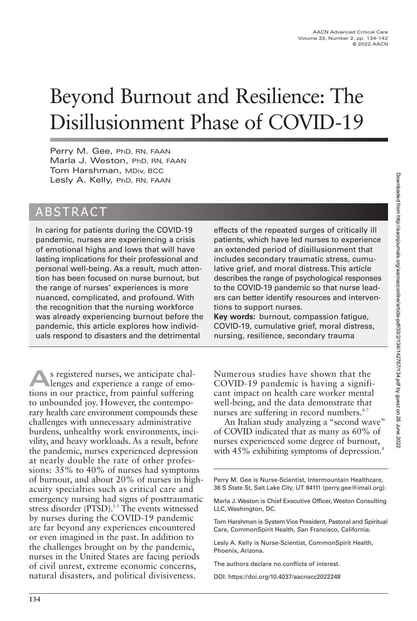# Beyond Burnout and Resilience: The Disillusionment Phase of COVID-19

Perry M. Gee, PhD, RN, FAAN Marla J. Weston, PhD, RN, FAAN Tom Harshman, MDiv, BCC Lesly A. Kelly, PhD, RN, FAAN

# ABSTRACT

In caring for patients during the COVID-19 pandemic, nurses are experiencing a crisis of emotional highs and lows that will have lasting implications for their professional and personal well-being. As a result, much attention has been focused on nurse burnout, but the range of nurses' experiences is more nuanced, complicated, and profound. With the recognition that the nursing workforce was already experiencing burnout before the pandemic, this article explores how individuals respond to disasters and the detrimental

**A**s registered nurses, we anticipate chal-<br>lenges and experience a range of emotions in our practice, from painful suffering to unbounded joy. However, the contemporary health care environment compounds these challenges with unnecessary administrative burdens, unhealthy work environments, incivility, and heavy workloads. As a result, before the pandemic, nurses experienced depression at nearly double the rate of other professions: 35% to 40% of nurses had symptoms of burnout, and about 20% of nurses in highacuity specialties such as critical care and emergency nursing had signs of posttraumatic stress disorder (PTSD).<sup>1-3</sup> The events witnessed by nurses during the COVID-19 pandemic are far beyond any experiences encountered or even imagined in the past. In addition to the challenges brought on by the pandemic, nurses in the United States are facing periods of civil unrest, extreme economic concerns, natural disasters, and political divisiveness.

effects of the repeated surges of critically ill patients, which have led nurses to experience an extended period of disillusionment that includes secondary traumatic stress, cumulative grief, and moral distress. This article describes the range of psychological responses to the COVID-19 pandemic so that nurse leaders can better identify resources and interventions to support nurses.

**Key words:** burnout, compassion fatigue, COVID-19, cumulative grief, moral distress, nursing, resilience, secondary trauma

Numerous studies have shown that the COVID-19 pandemic is having a significant impact on health care worker mental well-being, and the data demonstrate that nurses are suffering in record numbers.<sup>4-7</sup>

An Italian study analyzing a "second wave" of COVID indicated that as many as 60% of nurses experienced some degree of burnout, with 45% exhibiting symptoms of depression.<sup>8</sup>

Perry M. Gee is Nurse-Scientist, Intermountain Healthcare, 36 S State St, Salt Lake City, UT 84111 (perry.gee@imail.org).

Marla J. Weston is Chief Executive Officer, Weston Consulting LLC, Washington, DC.

Tom Harshman is System Vice President, Pastoral and Spiritual Care, CommonSpirit Health, San Francisco, California.

Lesly A. Kelly is Nurse-Scientist, CommonSpirit Health, Phoenix, Arizona.

The authors declare no conflicts of interest.

DOI: https://doi.org/10.4037/aacnacc2022248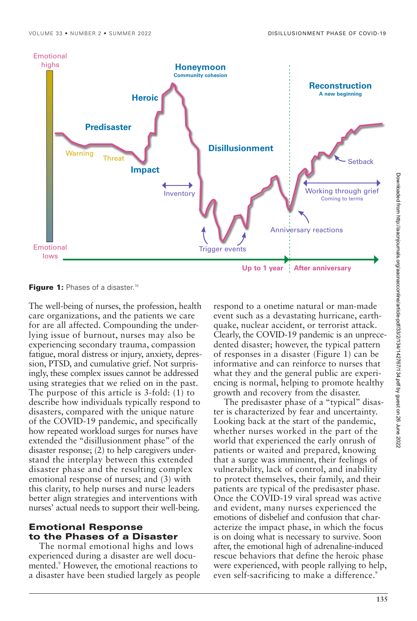

**Figure 1:** Phases of a disaster.<sup>10</sup>

The well-being of nurses, the profession, health care organizations, and the patients we care for are all affected. Compounding the underlying issue of burnout, nurses may also be experiencing secondary trauma, compassion fatigue, moral distress or injury, anxiety, depression, PTSD, and cumulative grief. Not surprisingly, these complex issues cannot be addressed using strategies that we relied on in the past. The purpose of this article is 3-fold: (1) to describe how individuals typically respond to disasters, compared with the unique nature of the COVID-19 pandemic, and specifically how repeated workload surges for nurses have extended the "disillusionment phase" of the disaster response; (2) to help caregivers understand the interplay between this extended disaster phase and the resulting complex emotional response of nurses; and (3) with this clarity, to help nurses and nurse leaders better align strategies and interventions with nurses' actual needs to support their well-being.

# **Emotional Response to the Phases of a Disaster**

The normal emotional highs and lows experienced during a disaster are well documented.9 However, the emotional reactions to a disaster have been studied largely as people respond to a onetime natural or man-made event such as a devastating hurricane, earthquake, nuclear accident, or terrorist attack. Clearly, the COVID-19 pandemic is an unprecedented disaster; however, the typical pattern of responses in a disaster (Figure 1) can be informative and can reinforce to nurses that what they and the general public are experiencing is normal, helping to promote healthy growth and recovery from the disaster.

The predisaster phase of a "typical" disaster is characterized by fear and uncertainty. Looking back at the start of the pandemic, whether nurses worked in the part of the world that experienced the early onrush of patients or waited and prepared, knowing that a surge was imminent, their feelings of vulnerability, lack of control, and inability to protect themselves, their family, and their patients are typical of the predisaster phase. Once the COVID-19 viral spread was active and evident, many nurses experienced the emotions of disbelief and confusion that characterize the impact phase, in which the focus is on doing what is necessary to survive. Soon after, the emotional high of adrenaline-induced rescue behaviors that define the heroic phase were experienced, with people rallying to help, even self-sacrificing to make a difference.<sup>9</sup>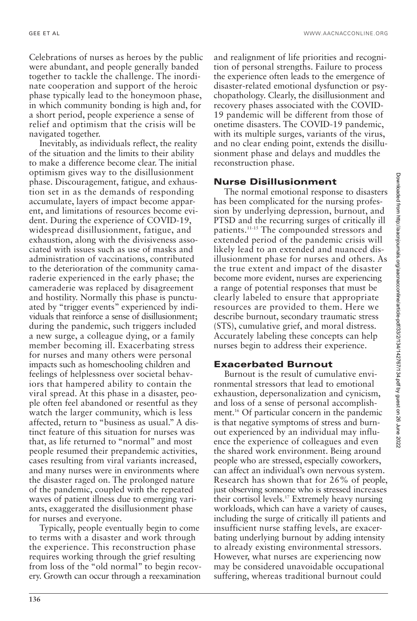Celebrations of nurses as heroes by the public were abundant, and people generally banded together to tackle the challenge. The inordinate cooperation and support of the heroic phase typically lead to the honeymoon phase, in which community bonding is high and, for a short period, people experience a sense of relief and optimism that the crisis will be navigated together.

Inevitably, as individuals reflect, the reality of the situation and the limits to their ability to make a difference become clear. The initial optimism gives way to the disillusionment phase. Discouragement, fatigue, and exhaustion set in as the demands of responding accumulate, layers of impact become apparent, and limitations of resources become evident. During the experience of COVID-19, widespread disillusionment, fatigue, and exhaustion, along with the divisiveness associated with issues such as use of masks and administration of vaccinations, contributed to the deterioration of the community camaraderie experienced in the early phase; the cameraderie was replaced by disagreement and hostility. Normally this phase is punctuated by "trigger events" experienced by individuals that reinforce a sense of disillusionment; during the pandemic, such triggers included a new surge, a colleague dying, or a family member becoming ill. Exacerbating stress for nurses and many others were personal impacts such as homeschooling children and feelings of helplessness over societal behaviors that hampered ability to contain the viral spread. At this phase in a disaster, people often feel abandoned or resentful as they watch the larger community, which is less affected, return to "business as usual." A distinct feature of this situation for nurses was that, as life returned to "normal" and most people resumed their prepandemic activities, cases resulting from viral variants increased, and many nurses were in environments where the disaster raged on. The prolonged nature of the pandemic, coupled with the repeated waves of patient illness due to emerging variants, exaggerated the disillusionment phase for nurses and everyone.

Typically, people eventually begin to come to terms with a disaster and work through the experience. This reconstruction phase requires working through the grief resulting from loss of the "old normal" to begin recovery. Growth can occur through a reexamination

and realignment of life priorities and recognition of personal strengths. Failure to process the experience often leads to the emergence of disaster-related emotional dysfunction or psychopathology. Clearly, the disillusionment and recovery phases associated with the COVID-19 pandemic will be different from those of onetime disasters. The COVID-19 pandemic, with its multiple surges, variants of the virus, and no clear ending point, extends the disillusionment phase and delays and muddles the reconstruction phase.

#### **Nurse Disillusionment**

The normal emotional response to disasters has been complicated for the nursing profession by underlying depression, burnout, and PTSD and the recurring surges of critically ill patients.11-15 The compounded stressors and extended period of the pandemic crisis will likely lead to an extended and nuanced disillusionment phase for nurses and others. As the true extent and impact of the disaster become more evident, nurses are experiencing a range of potential responses that must be clearly labeled to ensure that appropriate resources are provided to them. Here we describe burnout, secondary traumatic stress (STS), cumulative grief, and moral distress. Accurately labeling these concepts can help nurses begin to address their experience.

#### **Exacerbated Burnout**

Burnout is the result of cumulative environmental stressors that lead to emotional exhaustion, depersonalization and cynicism, and loss of a sense of personal accomplishment.16 Of particular concern in the pandemic is that negative symptoms of stress and burnout experienced by an individual may influence the experience of colleagues and even the shared work environment. Being around people who are stressed, especially coworkers, can affect an individual's own nervous system. Research has shown that for 26% of people, just observing someone who is stressed increases their cortisol levels.17 Extremely heavy nursing workloads, which can have a variety of causes, including the surge of critically ill patients and insufficient nurse staffing levels, are exacerbating underlying burnout by adding intensity to already existing environmental stressors. However, what nurses are experiencing now may be considered unavoidable occupational suffering, whereas traditional burnout could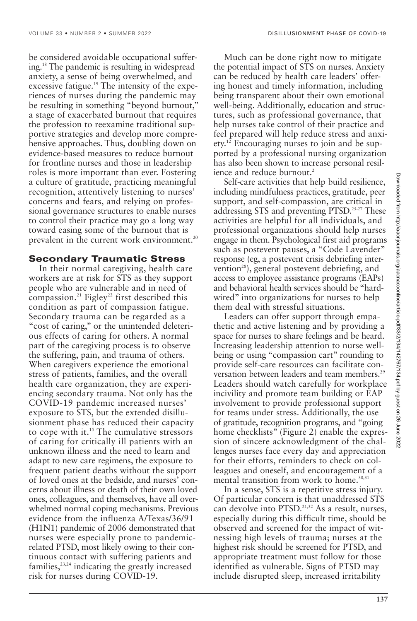be considered avoidable occupational suffering.18 The pandemic is resulting in widespread anxiety, a sense of being overwhelmed, and excessive fatigue.<sup>19</sup> The intensity of the experiences of nurses during the pandemic may be resulting in something "beyond burnout," a stage of exacerbated burnout that requires the profession to reexamine traditional supportive strategies and develop more comprehensive approaches. Thus, doubling down on evidence-based measures to reduce burnout for frontline nurses and those in leadership roles is more important than ever. Fostering a culture of gratitude, practicing meaningful recognition, attentively listening to nurses' concerns and fears, and relying on professional governance structures to enable nurses to control their practice may go a long way toward easing some of the burnout that is prevalent in the current work environment.<sup>20</sup>

## **Secondary Traumatic Stress**

In their normal caregiving, health care workers are at risk for STS as they support people who are vulnerable and in need of compassion.<sup>21</sup> Figley<sup>22</sup> first described this condition as part of compassion fatigue. Secondary trauma can be regarded as a "cost of caring," or the unintended deleterious effects of caring for others. A normal part of the caregiving process is to observe the suffering, pain, and trauma of others. When caregivers experience the emotional stress of patients, families, and the overall health care organization, they are experiencing secondary trauma. Not only has the COVID-19 pandemic increased nurses' exposure to STS, but the extended disillusionment phase has reduced their capacity to cope with it.15 The cumulative stressors of caring for critically ill patients with an unknown illness and the need to learn and adapt to new care regimens, the exposure to frequent patient deaths without the support of loved ones at the bedside, and nurses' concerns about illness or death of their own loved ones, colleagues, and themselves, have all overwhelmed normal coping mechanisms. Previous evidence from the influenza A/Texas/36/91 (H1N1) pandemic of 2006 demonstrated that nurses were especially prone to pandemicrelated PTSD, most likely owing to their continuous contact with suffering patients and families, $23,24$  indicating the greatly increased risk for nurses during COVID-19.

Much can be done right now to mitigate the potential impact of STS on nurses. Anxiety can be reduced by health care leaders' offering honest and timely information, including being transparent about their own emotional well-being. Additionally, education and structures, such as professional governance, that help nurses take control of their practice and feel prepared will help reduce stress and anxiety.12 Encouraging nurses to join and be supported by a professional nursing organization has also been shown to increase personal resilience and reduce burnout.<sup>2</sup>

Self-care activities that help build resilience, including mindfulness practices, gratitude, peer support, and self-compassion, are critical in addressing STS and preventing PTSD.25-27 These activities are helpful for all individuals, and professional organizations should help nurses engage in them. Psychological first aid programs such as postevent pauses, a "Code Lavender" response (eg, a postevent crisis debriefing intervention<sup>28</sup>), general postevent debriefing, and access to employee assistance programs (EAPs) and behavioral health services should be "hardwired" into organizations for nurses to help them deal with stressful situations.

Leaders can offer support through empathetic and active listening and by providing a space for nurses to share feelings and be heard. Increasing leadership attention to nurse wellbeing or using "compassion cart" rounding to provide self-care resources can facilitate conversation between leaders and team members.<sup>29</sup> Leaders should watch carefully for workplace incivility and promote team building or EAP involvement to provide professional support for teams under stress. Additionally, the use of gratitude, recognition programs, and "going home checklists" (Figure 2) enable the expression of sincere acknowledgment of the challenges nurses face every day and appreciation for their efforts, reminders to check on colleagues and oneself, and encouragement of a mental transition from work to home. $30,31$ 

In a sense, STS is a repetitive stress injury. Of particular concern is that unaddressed STS can devolve into PTSD.<sup>21,32</sup> As a result, nurses, especially during this difficult time, should be observed and screened for the impact of witnessing high levels of trauma; nurses at the highest risk should be screened for PTSD, and appropriate treatment must follow for those identified as vulnerable. Signs of PTSD may include disrupted sleep, increased irritability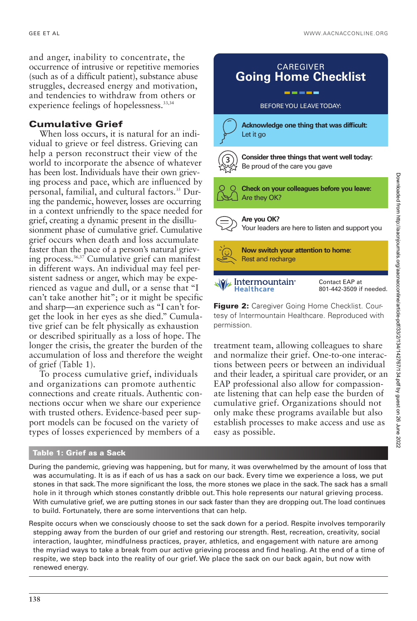and anger, inability to concentrate, the occurrence of intrusive or repetitive memories (such as of a difficult patient), substance abuse struggles, decreased energy and motivation, and tendencies to withdraw from others or experience feelings of hopelessness.<sup>33,34</sup>

# **Cumulative Grief**

When loss occurs, it is natural for an individual to grieve or feel distress. Grieving can help a person reconstruct their view of the world to incorporate the absence of whatever has been lost. Individuals have their own grieving process and pace, which are influenced by personal, familial, and cultural factors.35 During the pandemic, however, losses are occurring in a context unfriendly to the space needed for grief, creating a dynamic present in the disillusionment phase of cumulative grief. Cumulative grief occurs when death and loss accumulate faster than the pace of a person's natural grieving process.36,37 Cumulative grief can manifest in different ways. An individual may feel persistent sadness or anger, which may be experienced as vague and dull, or a sense that "I can't take another hit"; or it might be specific and sharp—an experience such as "I can't forget the look in her eyes as she died." Cumulative grief can be felt physically as exhaustion or described spiritually as a loss of hope. The longer the crisis, the greater the burden of the accumulation of loss and therefore the weight of grief (Table 1).

To process cumulative grief, individuals and organizations can promote authentic connections and create rituals. Authentic connections occur when we share our experience with trusted others. Evidence-based peer support models can be focused on the variety of types of losses experienced by members of a



treatment team, allowing colleagues to share and normalize their grief. One-to-one interactions between peers or between an individual and their leader, a spiritual care provider, or an EAP professional also allow for compassionate listening that can help ease the burden of cumulative grief. Organizations should not only make these programs available but also establish processes to make access and use as easy as possible.

#### **Table 1: Grief as a Sack**

During the pandemic, grieving was happening, but for many, it was overwhelmed by the amount of loss that was accumulating. It is as if each of us has a sack on our back. Every time we experience a loss, we put stones in that sack. The more significant the loss, the more stones we place in the sack. The sack has a small hole in it through which stones constantly dribble out. This hole represents our natural grieving process. With cumulative grief, we are putting stones in our sack faster than they are dropping out. The load continues to build. Fortunately, there are some interventions that can help.

Respite occurs when we consciously choose to set the sack down for a period. Respite involves temporarily stepping away from the burden of our grief and restoring our strength. Rest, recreation, creativity, social interaction, laughter, mindfulness practices, prayer, athletics, and engagement with nature are among the myriad ways to take a break from our active grieving process and find healing. At the end of a time of respite, we step back into the reality of our grief. We place the sack on our back again, but now with renewed energy.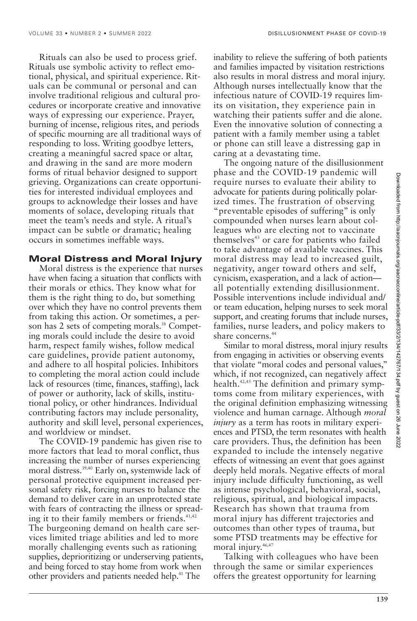Rituals can also be used to process grief. Rituals use symbolic activity to reflect emotional, physical, and spiritual experience. Rituals can be communal or personal and can involve traditional religious and cultural procedures or incorporate creative and innovative ways of expressing our experience. Prayer, burning of incense, religious rites, and periods of specific mourning are all traditional ways of responding to loss. Writing goodbye letters, creating a meaningful sacred space or altar, and drawing in the sand are more modern forms of ritual behavior designed to support grieving. Organizations can create opportunities for interested individual employees and groups to acknowledge their losses and have moments of solace, developing rituals that meet the team's needs and style. A ritual's impact can be subtle or dramatic; healing occurs in sometimes ineffable ways.

### **Moral Distress and Moral Injury**

Moral distress is the experience that nurses have when facing a situation that conflicts with their morals or ethics. They know what for them is the right thing to do, but something over which they have no control prevents them from taking this action. Or sometimes, a person has 2 sets of competing morals.<sup>38</sup> Competing morals could include the desire to avoid harm, respect family wishes, follow medical care guidelines, provide patient autonomy, and adhere to all hospital policies. Inhibitors to completing the moral action could include lack of resources (time, finances, staffing), lack of power or authority, lack of skills, institutional policy, or other hindrances. Individual contributing factors may include personality, authority and skill level, personal experiences, and worldview or mindset.

The COVID-19 pandemic has given rise to more factors that lead to moral conflict, thus increasing the number of nurses experiencing moral distress.<sup>39,40</sup> Early on, systemwide lack of personal protective equipment increased personal safety risk, forcing nurses to balance the demand to deliver care in an unprotected state with fears of contracting the illness or spreading it to their family members or friends.<sup>41,42</sup> The burgeoning demand on health care services limited triage abilities and led to more morally challenging events such as rationing supplies, deprioritizing or underserving patients, and being forced to stay home from work when other providers and patients needed help.<sup>41</sup> The

inability to relieve the suffering of both patients and families impacted by visitation restrictions also results in moral distress and moral injury. Although nurses intellectually know that the infectious nature of COVID-19 requires limits on visitation, they experience pain in watching their patients suffer and die alone. Even the innovative solution of connecting a patient with a family member using a tablet or phone can still leave a distressing gap in caring at a devastating time.

The ongoing nature of the disillusionment phase and the COVID-19 pandemic will require nurses to evaluate their ability to advocate for patients during politically polarized times. The frustration of observing "preventable episodes of suffering" is only compounded when nurses learn about colleagues who are electing not to vaccinate themselves<sup>43</sup> or care for patients who failed to take advantage of available vaccines. This moral distress may lead to increased guilt, negativity, anger toward others and self, cynicism, exasperation, and a lack of action all potentially extending disillusionment. Possible interventions include individual and/ or team education, helping nurses to seek moral support, and creating forums that include nurses, families, nurse leaders, and policy makers to share concerns.<sup>44</sup>

Similar to moral distress, moral injury results from engaging in activities or observing events that violate "moral codes and personal values," which, if not recognized, can negatively affect health.<sup>42,45</sup> The definition and primary symptoms come from military experiences, with the original definition emphasizing witnessing violence and human carnage. Although *moral injury* as a term has roots in military experiences and PTSD, the term resonates with health care providers. Thus, the definition has been expanded to include the intensely negative effects of witnessing an event that goes against deeply held morals. Negative effects of moral injury include difficulty functioning, as well as intense psychological, behavioral, social, religious, spiritual, and biological impacts. Research has shown that trauma from moral injury has different trajectories and outcomes than other types of trauma, but some PTSD treatments may be effective for moral injury.<sup>46,47</sup>

Talking with colleagues who have been through the same or similar experiences offers the greatest opportunity for learning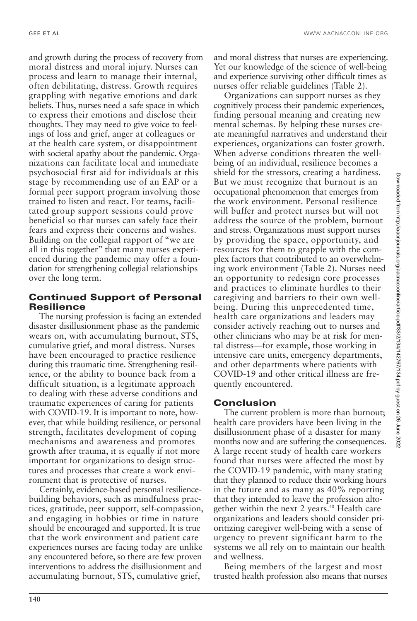and growth during the process of recovery from moral distress and moral injury. Nurses can process and learn to manage their internal, often debilitating, distress. Growth requires grappling with negative emotions and dark beliefs. Thus, nurses need a safe space in which to express their emotions and disclose their thoughts. They may need to give voice to feelings of loss and grief, anger at colleagues or at the health care system, or disappointment with societal apathy about the pandemic. Organizations can facilitate local and immediate psychosocial first aid for individuals at this stage by recommending use of an EAP or a formal peer support program involving those trained to listen and react. For teams, facilitated group support sessions could prove beneficial so that nurses can safely face their fears and express their concerns and wishes. Building on the collegial rapport of "we are all in this together" that many nurses experienced during the pandemic may offer a foundation for strengthening collegial relationships over the long term.

# **Continued Support of Personal Resilience**

The nursing profession is facing an extended disaster disillusionment phase as the pandemic wears on, with accumulating burnout, STS, cumulative grief, and moral distress. Nurses have been encouraged to practice resilience during this traumatic time. Strengthening resilience, or the ability to bounce back from a difficult situation, is a legitimate approach to dealing with these adverse conditions and traumatic experiences of caring for patients with COVID-19. It is important to note, however, that while building resilience, or personal strength, facilitates development of coping mechanisms and awareness and promotes growth after trauma, it is equally if not more important for organizations to design structures and processes that create a work environment that is protective of nurses.

Certainly, evidence-based personal resiliencebuilding behaviors, such as mindfulness practices, gratitude, peer support, self-compassion, and engaging in hobbies or time in nature should be encouraged and supported. It is true that the work environment and patient care experiences nurses are facing today are unlike any encountered before, so there are few proven interventions to address the disillusionment and accumulating burnout, STS, cumulative grief,

and moral distress that nurses are experiencing. Yet our knowledge of the science of well-being and experience surviving other difficult times as nurses offer reliable guidelines (Table 2).

Organizations can support nurses as they cognitively process their pandemic experiences, finding personal meaning and creating new mental schemas. By helping these nurses create meaningful narratives and understand their experiences, organizations can foster growth. When adverse conditions threaten the wellbeing of an individual, resilience becomes a shield for the stressors, creating a hardiness. But we must recognize that burnout is an occupational phenomenon that emerges from the work environment. Personal resilience will buffer and protect nurses but will not address the source of the problem, burnout and stress. Organizations must support nurses by providing the space, opportunity, and resources for them to grapple with the complex factors that contributed to an overwhelming work environment (Table 2). Nurses need an opportunity to redesign core processes and practices to eliminate hurdles to their caregiving and barriers to their own wellbeing. During this unprecedented time, health care organizations and leaders may consider actively reaching out to nurses and other clinicians who may be at risk for mental distress—for example, those working in intensive care units, emergency departments, and other departments where patients with COVID-19 and other critical illness are frequently encountered.

# **Conclusion**

The current problem is more than burnout; health care providers have been living in the disillusionment phase of a disaster for many months now and are suffering the consequences. A large recent study of health care workers found that nurses were affected the most by the COVID-19 pandemic, with many stating that they planned to reduce their working hours in the future and as many as 40% reporting that they intended to leave the profession altogether within the next 2 years.<sup>48</sup> Health care organizations and leaders should consider prioritizing caregiver well-being with a sense of urgency to prevent significant harm to the systems we all rely on to maintain our health and wellness.

Being members of the largest and most trusted health profession also means that nurses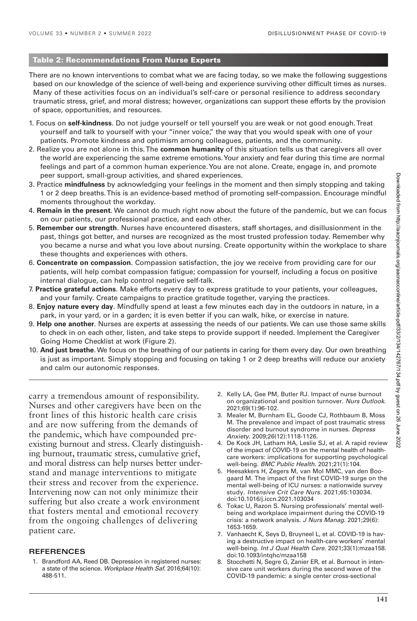#### **Table 2: Recommendations From Nurse Experts**

There are no known interventions to combat what we are facing today, so we make the following suggestions based on our knowledge of the science of well-being and experience surviving other difficult times as nurses. Many of these activities focus on an individual's self-care or personal resilience to address secondary traumatic stress, grief, and moral distress; however, organizations can support these efforts by the provision of space, opportunities, and resources.

- 1. Focus on **self-kindness**. Do not judge yourself or tell yourself you are weak or not good enough. Treat yourself and talk to yourself with your "inner voice," the way that you would speak with one of your patients. Promote kindness and optimism among colleagues, patients, and the community.
- 2. Realize you are not alone in this. The **common humanity** of this situation tells us that caregivers all over the world are experiencing the same extreme emotions. Your anxiety and fear during this time are normal feelings and part of a common human experience. You are not alone. Create, engage in, and promote peer support, small-group activities, and shared experiences.
- 3. Practice **mindfulness** by acknowledging your feelings in the moment and then simply stopping and taking 1 or 2 deep breaths. This is an evidence-based method of promoting self-compassion. Encourage mindful moments throughout the workday.
- 4. **Remain in the present**. We cannot do much right now about the future of the pandemic, but we can focus on our patients, our professional practice, and each other.
- 5. **Remember our strength**. Nurses have encountered disasters, staff shortages, and disillusionment in the past, things got better, and nurses are recognized as the most trusted profession today. Remember why you became a nurse and what you love about nursing. Create opportunity within the workplace to share these thoughts and experiences with others.
- 6. **Concentrate on compassion**. Compassion satisfaction, the joy we receive from providing care for our patients, will help combat compassion fatigue; compassion for yourself, including a focus on positive internal dialogue, can help control negative self-talk.
- 7. **Practice grateful actions**. Make efforts every day to express gratitude to your patients, your colleagues, and your family. Create campaigns to practice gratitude together, varying the practices.
- 8. **Enjoy nature every day**. Mindfully spend at least a few minutes each day in the outdoors in nature, in a park, in your yard, or in a garden; it is even better if you can walk, hike, or exercise in nature.
- 9. **Help one another**. Nurses are experts at assessing the needs of our patients. We can use those same skills to check in on each other, listen, and take steps to provide support if needed. Implement the Caregiver Going Home Checklist at work (Figure 2).
- 10. **And just breathe**. We focus on the breathing of our patients in caring for them every day. Our own breathing is just as important. Simply stopping and focusing on taking 1 or 2 deep breaths will reduce our anxiety and calm our autonomic responses.

carry a tremendous amount of responsibility. Nurses and other caregivers have been on the front lines of this historic health care crisis and are now suffering from the demands of the pandemic, which have compounded preexisting burnout and stress. Clearly distinguishing burnout, traumatic stress, cumulative grief, and moral distress can help nurses better understand and manage interventions to mitigate their stress and recover from the experience. Intervening now can not only minimize their suffering but also create a work environment that fosters mental and emotional recovery from the ongoing challenges of delivering patient care.

#### **REFERENCES**

1. Brandford AA, Reed DB. Depression in registered nurses: a state of the science. Workplace Health Saf. 2016;64(10): 488-511.

- 2. Kelly LA, Gee PM, Butler RJ. Impact of nurse burnout on organizational and position turnover. Nurs Outlook. 2021;69(1):96-102.
- 3. Mealer M, Burnham EL, Goode CJ, Rothbaum B, Moss M. The prevalence and impact of post traumatic stress disorder and burnout syndrome in nurses. Depress Anxiety. 2009;26(12):1118-1126.
- 4. De Kock JH, Latham HA, Leslie SJ, et al. A rapid review of the impact of COVID-19 on the mental health of healthcare workers: implications for supporting psychological well-being. BMC Public Health. 2021;21(1):104.
- 5. Heesakkers H, Zegers M, van Mol MMC, van den Boogaard M. The impact of the first COVID-19 surge on the mental well-being of ICU nurses: a nationwide survey study. Intensive Crit Care Nurs. 2021;65:103034. doi:10.1016/j.iccn.2021.103034
- 6. Tokac U, Razon S. Nursing professionals' mental wellbeing and workplace impairment during the COVID-19 crisis: a network analysis. J Nurs Manag. 2021;29(6): 1653-1659.
- 7. Vanhaecht K, Seys D, Bruyneel L, et al. COVID-19 is having a destructive impact on health-care workers' mental well-being. Int J Qual Health Care. 2021;33(1):mzaa158. doi:10.1093/intqhc/mzaa158
- 8. Stocchetti N, Segre G, Zanier ER, et al. Burnout in intensive care unit workers during the second wave of the COVID-19 pandemic: a single center cross-sectional